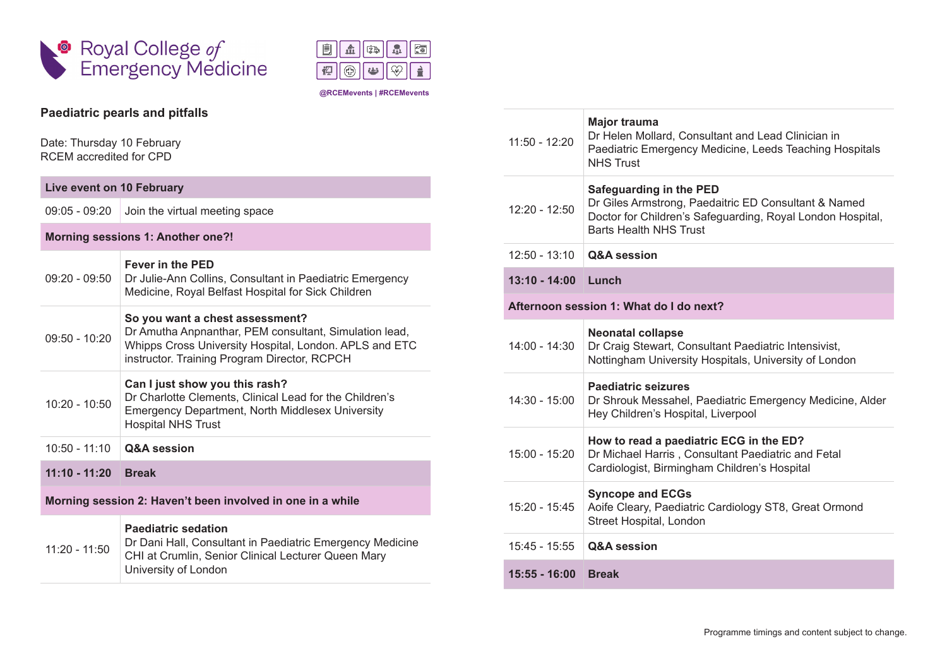



## **Paediatric pearls and pitfalls**

Date: Thursday 10 February RCEM accredited for CPD

| Live event on 10 February                                  |                                                                                                                                                                                                     |  |
|------------------------------------------------------------|-----------------------------------------------------------------------------------------------------------------------------------------------------------------------------------------------------|--|
| $09:05 - 09:20$                                            | Join the virtual meeting space                                                                                                                                                                      |  |
| Morning sessions 1: Another one?!                          |                                                                                                                                                                                                     |  |
| $09:20 - 09:50$                                            | <b>Fever in the PED</b><br>Dr Julie-Ann Collins, Consultant in Paediatric Emergency<br>Medicine, Royal Belfast Hospital for Sick Children                                                           |  |
| $09:50 - 10:20$                                            | So you want a chest assessment?<br>Dr Amutha Anpnanthar, PEM consultant, Simulation lead,<br>Whipps Cross University Hospital, London. APLS and ETC<br>instructor. Training Program Director, RCPCH |  |
| $10:20 - 10:50$                                            | Can I just show you this rash?<br>Dr Charlotte Clements, Clinical Lead for the Children's<br><b>Emergency Department, North Middlesex University</b><br><b>Hospital NHS Trust</b>                   |  |
| $10:50 - 11:10$                                            | <b>Q&amp;A</b> session                                                                                                                                                                              |  |
| $11:10 - 11:20$                                            | <b>Break</b>                                                                                                                                                                                        |  |
| Morning session 2: Haven't been involved in one in a while |                                                                                                                                                                                                     |  |
| $11:20 - 11:50$                                            | <b>Paediatric sedation</b><br>Dr Dani Hall, Consultant in Paediatric Emergency Medicine<br>CHI at Crumlin, Senior Clinical Lecturer Queen Mary<br>University of London                              |  |

| $11:50 - 12:20$                         | Major trauma<br>Dr Helen Mollard, Consultant and Lead Clinician in<br>Paediatric Emergency Medicine, Leeds Teaching Hospitals<br><b>NHS Trust</b>                              |  |
|-----------------------------------------|--------------------------------------------------------------------------------------------------------------------------------------------------------------------------------|--|
| 12:20 - 12:50                           | Safeguarding in the PED<br>Dr Giles Armstrong, Paedaitric ED Consultant & Named<br>Doctor for Children's Safeguarding, Royal London Hospital,<br><b>Barts Health NHS Trust</b> |  |
| $12:50 - 13:10$                         | <b>Q&amp;A</b> session                                                                                                                                                         |  |
| $13:10 - 14:00$                         | Lunch                                                                                                                                                                          |  |
| Afternoon session 1: What do I do next? |                                                                                                                                                                                |  |
| $14:00 - 14:30$                         | <b>Neonatal collapse</b><br>Dr Craig Stewart, Consultant Paediatric Intensivist,<br>Nottingham University Hospitals, University of London                                      |  |
| 14:30 - 15:00                           | <b>Paediatric seizures</b><br>Dr Shrouk Messahel, Paediatric Emergency Medicine, Alder<br>Hey Children's Hospital, Liverpool                                                   |  |
| $15:00 - 15:20$                         | How to read a paediatric ECG in the ED?<br>Dr Michael Harris, Consultant Paediatric and Fetal<br>Cardiologist, Birmingham Children's Hospital                                  |  |
| $15:20 - 15:45$                         | <b>Syncope and ECGs</b><br>Aoife Cleary, Paediatric Cardiology ST8, Great Ormond<br>Street Hospital, London                                                                    |  |
| $15:45 - 15:55$                         | <b>Q&amp;A</b> session                                                                                                                                                         |  |
| $15:55 - 16:00$                         | <b>Break</b>                                                                                                                                                                   |  |